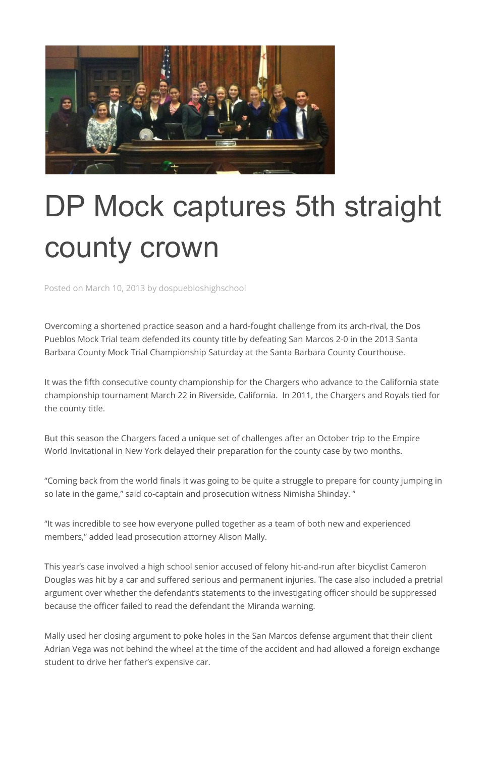

## DP Mock captures 5th straight county crown

Posted on March 10, 2013 by dospuebloshighschool

Overcoming a shortened practice season and a hard-fought challenge from its arch-rival, the Dos Pueblos Mock Trial team defended its county title by defeating San Marcos 2-0 in the 2013 Santa Barbara County Mock Trial Championship Saturday at the Santa Barbara County Courthouse.

It was the fifth consecutive county championship for the Chargers who advance to the California state championship tournament March 22 in Riverside, California. In 2011, the Chargers and Royals tied for the county title.

But this season the Chargers faced a unique set of challenges after an October trip to the Empire World Invitational in New York delayed their preparation for the county case by two months.

"Coming back from the world finals it was going to be quite a struggle to prepare for county jumping in so late in the game," said co-captain and prosecution witness Nimisha Shinday. "

"It was incredible to see how everyone pulled together as a team of both new and experienced members," added lead prosecution attorney Alison Mally.

This year's case involved a high school senior accused of felony hit-and-run after bicyclist Cameron Douglas was hit by a car and suffered serious and permanent injuries. The case also included a pretrial argument over whether the defendant's statements to the investigating officer should be suppressed because the officer failed to read the defendant the Miranda warning.

Mally used her closing argument to poke holes in the San Marcos defense argument that their client Adrian Vega was not behind the wheel at the time of the accident and had allowed a foreign exchange student to drive her father's expensive car.